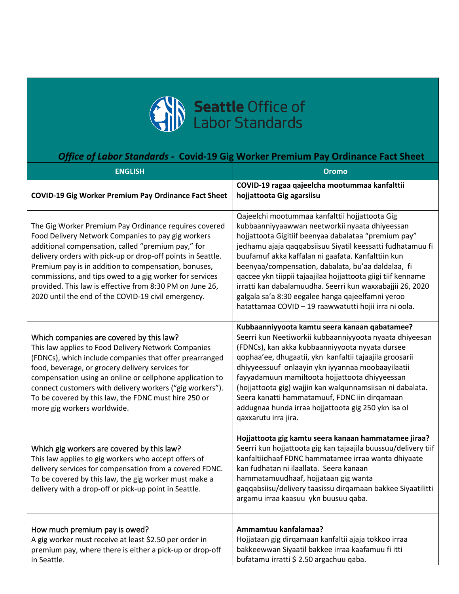

## *Office of Labor Standards -* **Covid-19 Gig Worker Premium Pay Ordinance Fact Sheet**

| <b>ENGLISH</b>                                                                                                                                                                                                                                                                                                                                                                                                                                                         | <b>Oromo</b>                                                                                                                                                                                                                                                                                                                                                                                                                                                                                                                                                                  |
|------------------------------------------------------------------------------------------------------------------------------------------------------------------------------------------------------------------------------------------------------------------------------------------------------------------------------------------------------------------------------------------------------------------------------------------------------------------------|-------------------------------------------------------------------------------------------------------------------------------------------------------------------------------------------------------------------------------------------------------------------------------------------------------------------------------------------------------------------------------------------------------------------------------------------------------------------------------------------------------------------------------------------------------------------------------|
| <b>COVID-19 Gig Worker Premium Pay Ordinance Fact Sheet</b>                                                                                                                                                                                                                                                                                                                                                                                                            | COVID-19 ragaa qajeelcha mootummaa kanfalttii<br>hojjattoota Gig agarsiisu                                                                                                                                                                                                                                                                                                                                                                                                                                                                                                    |
| The Gig Worker Premium Pay Ordinance requires covered<br>Food Delivery Network Companies to pay gig workers<br>additional compensation, called "premium pay," for<br>delivery orders with pick-up or drop-off points in Seattle.<br>Premium pay is in addition to compensation, bonuses,<br>commissions, and tips owed to a gig worker for services<br>provided. This law is effective from 8:30 PM on June 26,<br>2020 until the end of the COVID-19 civil emergency. | Qajeelchi mootummaa kanfalttii hojjattoota Gig<br>kubbaanniyyaawwan neetworkii nyaata dhiyeessan<br>hojjattoota Gigitiif beenyaa dabalataa "premium pay"<br>jedhamu ajaja qaqqabsiisuu Siyatil keessatti fudhatamuu fi<br>buufamuf akka kaffalan ni gaafata. Kanfalttiin kun<br>beenyaa/compensation, dabalata, bu'aa daldalaa, fi<br>qaccee ykn tiippii tajaajilaa hojjattoota giigi tiif kenname<br>irratti kan dabalamuudha. Seerri kun waxxabajjii 26, 2020<br>galgala sa'a 8:30 eegalee hanga qajeelfamni yeroo<br>hatattamaa COVID - 19 raawwatutti hojii irra ni oola. |
| Which companies are covered by this law?<br>This law applies to Food Delivery Network Companies<br>(FDNCs), which include companies that offer prearranged<br>food, beverage, or grocery delivery services for<br>compensation using an online or cellphone application to<br>connect customers with delivery workers ("gig workers").<br>To be covered by this law, the FDNC must hire 250 or<br>more gig workers worldwide.                                          | Kubbaanniyyoota kamtu seera kanaan qabatamee?<br>Seerri kun Neetiworkii kubbaanniyyoota nyaata dhiyeesan<br>(FDNCs), kan akka kubbaanniyyoota nyyata dursee<br>qophaa'ee, dhugaatii, ykn kanfaltii tajaajila groosarii<br>dhiyyeessuuf onlaayin ykn iyyannaa moobaayilaatii<br>fayyadamuun mamiltoota hojjattoota dhiyyeessan<br>(hojjattoota gig) wajjin kan walqunnamsiisan ni dabalata.<br>Seera kanatti hammatamuuf, FDNC iin dirqamaan<br>addugnaa hunda irraa hojjattoota gig 250 ykn isa ol<br>qaxxarutu irra jira.                                                    |
| Which gig workers are covered by this law?<br>This law applies to gig workers who accept offers of<br>delivery services for compensation from a covered FDNC.<br>To be covered by this law, the gig worker must make a<br>delivery with a drop-off or pick-up point in Seattle.                                                                                                                                                                                        | Hojjattoota gig kamtu seera kanaan hammatamee jiraa?<br>Seerri kun hojjattoota gig kan tajaajila buussuu/delivery tiif<br>kanfaltiidhaaf FDNC hammatamee irraa wanta dhiyaate<br>kan fudhatan ni ilaallata. Seera kanaan<br>hammatamuudhaaf, hojjataan gig wanta<br>gaqqabsiisu/delivery taasissu dirqamaan bakkee Siyaatilitti<br>argamu irraa kaasuu ykn buusuu qaba.                                                                                                                                                                                                       |
| How much premium pay is owed?<br>A gig worker must receive at least \$2.50 per order in<br>premium pay, where there is either a pick-up or drop-off<br>in Seattle.                                                                                                                                                                                                                                                                                                     | Ammamtuu kanfalamaa?<br>Hojjataan gig dirqamaan kanfaltii ajaja tokkoo irraa<br>bakkeewwan Siyaatil bakkee irraa kaafamuu fi itti<br>bufatamu irratti \$ 2.50 argachuu qaba.                                                                                                                                                                                                                                                                                                                                                                                                  |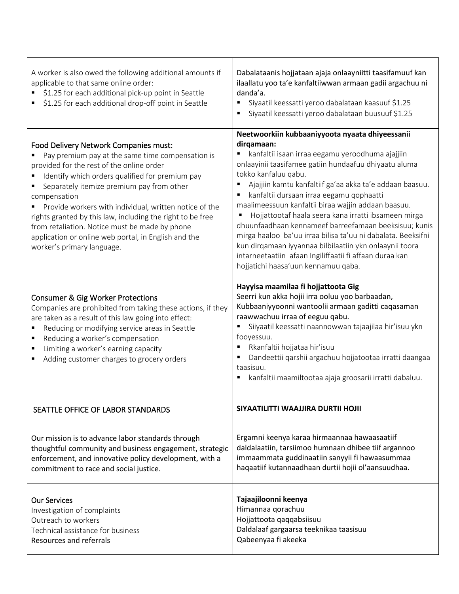| A worker is also owed the following additional amounts if<br>applicable to that same online order:<br>\$1.25 for each additional pick-up point in Seattle<br>\$1.25 for each additional drop-off point in Seattle                                                                                                                                                                                                                                                                                                           | Dabalataanis hojjataan ajaja onlaayniitti taasifamuuf kan<br>ilaallatu yoo ta'e kanfaltiiwwan armaan gadii argachuu ni<br>danda'a.<br>Siyaatil keessatti yeroo dabalataan kaasuuf \$1.25<br>٠<br>Siyaatil keessatti yeroo dabalataan buusuuf \$1.25                                                                                                                                                                                                                                                                                                                                                                                                                                                                  |
|-----------------------------------------------------------------------------------------------------------------------------------------------------------------------------------------------------------------------------------------------------------------------------------------------------------------------------------------------------------------------------------------------------------------------------------------------------------------------------------------------------------------------------|----------------------------------------------------------------------------------------------------------------------------------------------------------------------------------------------------------------------------------------------------------------------------------------------------------------------------------------------------------------------------------------------------------------------------------------------------------------------------------------------------------------------------------------------------------------------------------------------------------------------------------------------------------------------------------------------------------------------|
| Food Delivery Network Companies must:<br>Pay premium pay at the same time compensation is<br>provided for the rest of the online order<br>Identify which orders qualified for premium pay<br>Separately itemize premium pay from other<br>compensation<br>Provide workers with individual, written notice of the<br>٠<br>rights granted by this law, including the right to be free<br>from retaliation. Notice must be made by phone<br>application or online web portal, in English and the<br>worker's primary language. | Neetwoorkiin kubbaaniyyoota nyaata dhiyeessanii<br>dirqamaan:<br>kanfaltii isaan irraa eegamu yeroodhuma ajajjiin<br>onlaayinii taasifamee gatiin hundaafuu dhiyaatu aluma<br>tokko kanfaluu qabu.<br>Ajajjiin kamtu kanfaltiif ga'aa akka ta'e addaan baasuu.<br>٠<br>kanfaltii dursaan irraa eegamu qophaatti<br>maalimeessuun kanfaltii biraa wajjin addaan baasuu.<br>Hojjattootaf haala seera kana irratti ibsameen mirga<br>dhuunfaadhaan kennameef barreefamaan beeksisuu; kunis<br>mirga haaloo ba'uu irraa bilisa ta'uu ni dabalata. Beeksifni<br>kun dirqamaan iyyannaa bilbilaatiin ykn onlaaynii toora<br>intarneetaatiin afaan Ingiliffaatii fi affaan duraa kan<br>hojjatichi haasa'uun kennamuu qaba. |
| <b>Consumer &amp; Gig Worker Protections</b><br>Companies are prohibited from taking these actions, if they<br>are taken as a result of this law going into effect:<br>Reducing or modifying service areas in Seattle<br>٠<br>Reducing a worker's compensation<br>Limiting a worker's earning capacity<br>٠<br>Adding customer charges to grocery orders                                                                                                                                                                    | Hayyisa maamilaa fi hojjattoota Gig<br>Seerri kun akka hojii irra ooluu yoo barbaadan,<br>Kubbaaniyyoonni wantoolii armaan gaditti caqasaman<br>raawwachuu irraa of eeguu qabu.<br>Siiyaatil keessatti naannowwan tajaajilaa hir'isuu ykn<br>٠<br>fooyessuu.<br>Rkanfaltii hojjataa hir'isuu<br>٠<br>Dandeettii qarshii argachuu hojjatootaa irratti daangaa<br>taasisuu.<br>kanfaltii maamiltootaa ajaja groosarii irratti dabaluu.                                                                                                                                                                                                                                                                                 |
| SEATTLE OFFICE OF LABOR STANDARDS                                                                                                                                                                                                                                                                                                                                                                                                                                                                                           | SIYAATILITTI WAAJJIRA DURTII HOJII                                                                                                                                                                                                                                                                                                                                                                                                                                                                                                                                                                                                                                                                                   |
| Our mission is to advance labor standards through<br>thoughtful community and business engagement, strategic<br>enforcement, and innovative policy development, with a<br>commitment to race and social justice.                                                                                                                                                                                                                                                                                                            | Ergamni keenya karaa hirmaannaa hawaasaatiif<br>daldalaatiin, tarsiimoo humnaan dhibee tiif argannoo<br>immaammata guddinaatiin sanyyii fi hawaasummaa<br>haqaatiif kutannaadhaan durtii hojii ol'aansuudhaa.                                                                                                                                                                                                                                                                                                                                                                                                                                                                                                        |
| <b>Our Services</b><br>Investigation of complaints<br>Outreach to workers<br>Technical assistance for business<br>Resources and referrals                                                                                                                                                                                                                                                                                                                                                                                   | Tajaajiloonni keenya<br>Himannaa qorachuu<br>Hojjattoota qaqqabsiisuu<br>Daldalaaf gargaarsa teeknikaa taasisuu<br>Qabeenyaa fi akeeka                                                                                                                                                                                                                                                                                                                                                                                                                                                                                                                                                                               |